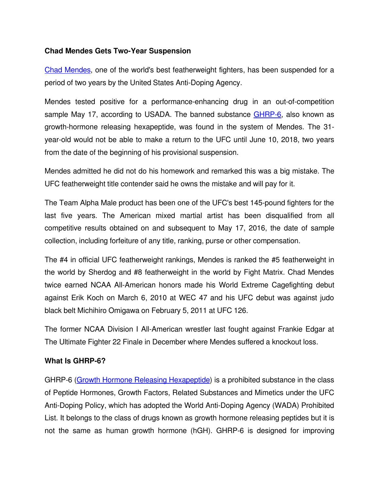## **Chad Mendes Gets Two-Year Suspension**

[Chad Mendes,](http://www.ufc.com/fighter/Chad-Mendes) one of the world's best featherweight fighters, has been suspended for a period of two years by the United States Anti-Doping Agency.

Mendes tested positive for a performance-enhancing drug in an out-of-competition sample May 17, according to USADA. The banned substance GHRP-6, also known as growth-hormone releasing hexapeptide, was found in the system of Mendes. The 31year-old would not be able to make a return to the UFC until June 10, 2018, two years from the date of the beginning of his provisional suspension.

Mendes admitted he did not do his homework and remarked this was a big mistake. The UFC featherweight title contender said he owns the mistake and will pay for it.

The Team Alpha Male product has been one of the UFC's best 145-pound fighters for the last five years. The American mixed martial artist has been disqualified from all competitive results obtained on and subsequent to May 17, 2016, the date of sample collection, including forfeiture of any title, ranking, purse or other compensation.

The #4 in official UFC featherweight rankings, Mendes is ranked the #5 featherweight in the world by Sherdog and #8 featherweight in the world by Fight Matrix. Chad Mendes twice earned NCAA All-American honors made his World Extreme Cagefighting debut against Erik Koch on March 6, 2010 at WEC 47 and his UFC debut was against judo black belt Michihiro Omigawa on February 5, 2011 at UFC 126.

The former NCAA Division I All-American wrestler last fought against Frankie Edgar at The Ultimate Fighter 22 Finale in December where Mendes suffered a knockout loss.

## **What Is GHRP-6?**

GHRP-6 [\(Growth Hormone Releasing Hexapeptide\)](http://www.isteroids.com/blog/ghrp-6-growth-hormone-releasing-peptide-6/) is a prohibited substance in the class of Peptide Hormones, Growth Factors, Related Substances and Mimetics under the UFC Anti-Doping Policy, which has adopted the World Anti-Doping Agency (WADA) Prohibited List. It belongs to the class of drugs known as growth hormone releasing peptides but it is not the same as human growth hormone (hGH). GHRP-6 is designed for improving